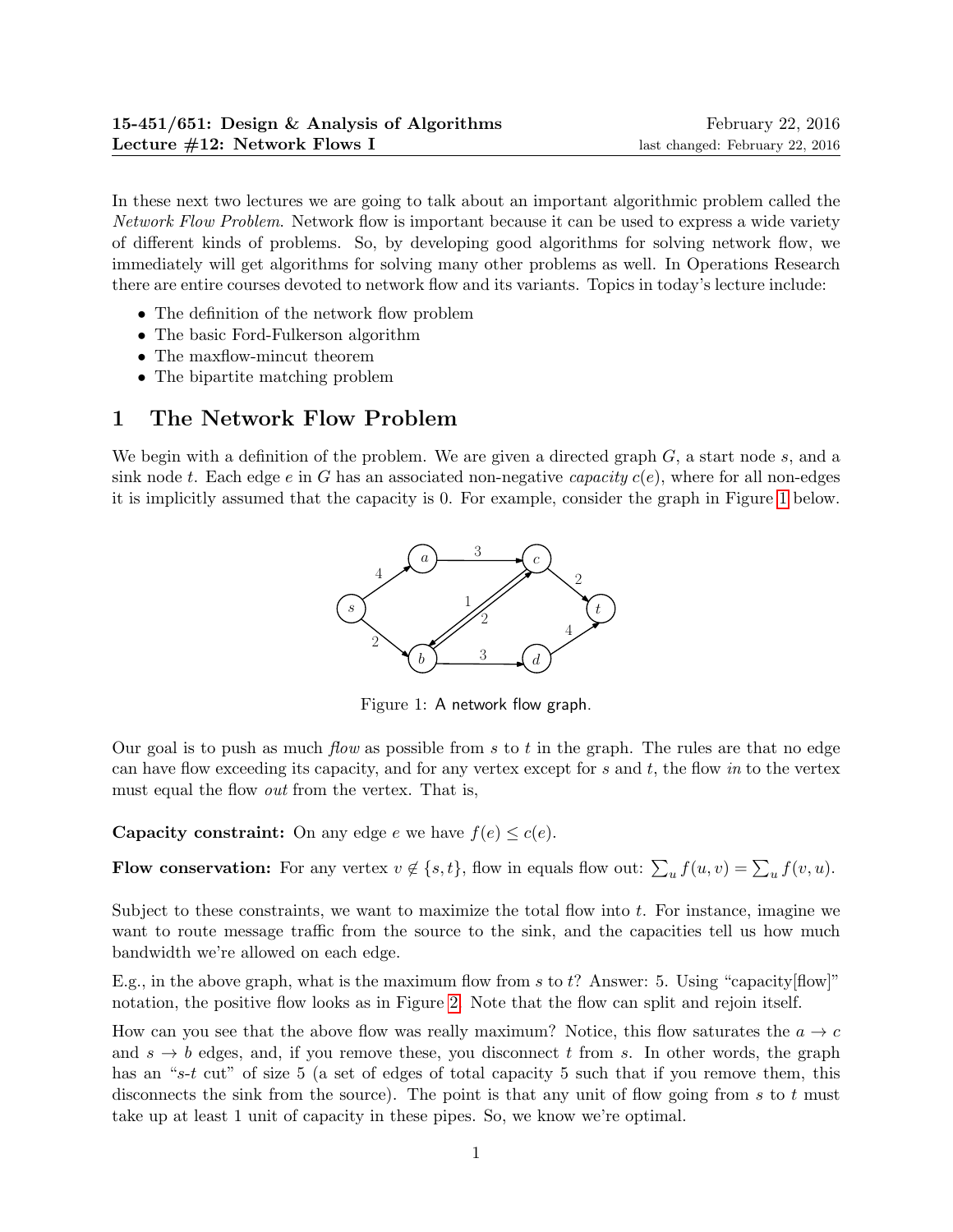In these next two lectures we are going to talk about an important algorithmic problem called the Network Flow Problem. Network flow is important because it can be used to express a wide variety of different kinds of problems. So, by developing good algorithms for solving network flow, we immediately will get algorithms for solving many other problems as well. In Operations Research there are entire courses devoted to network flow and its variants. Topics in today's lecture include:

- The definition of the network flow problem
- The basic Ford-Fulkerson algorithm
- The maxflow-mincut theorem
- The bipartite matching problem

# 1 The Network Flow Problem

We begin with a definition of the problem. We are given a directed graph  $G$ , a start node  $s$ , and a sink node t. Each edge e in G has an associated non-negative capacity  $c(e)$ , where for all non-edges it is implicitly assumed that the capacity is 0. For example, consider the graph in Figure [1](#page-0-0) below.



<span id="page-0-0"></span>Figure 1: A network flow graph.

Our goal is to push as much *flow* as possible from s to t in the graph. The rules are that no edge can have flow exceeding its capacity, and for any vertex except for s and  $t$ , the flow in to the vertex must equal the flow *out* from the vertex. That is,

**Capacity constraint:** On any edge  $e$  we have  $f(e) \leq c(e)$ .

**Flow conservation:** For any vertex  $v \notin \{s, t\}$ , flow in equals flow out:  $\sum_u f(u, v) = \sum_u f(v, u)$ .

Subject to these constraints, we want to maximize the total flow into  $t$ . For instance, imagine we want to route message traffic from the source to the sink, and the capacities tell us how much bandwidth we're allowed on each edge.

E.g., in the above graph, what is the maximum flow from s to t? Answer: 5. Using "capacity  $\lceil \text{flow} \rceil$ " notation, the positive flow looks as in Figure [2.](#page-1-0) Note that the flow can split and rejoin itself.

How can you see that the above flow was really maximum? Notice, this flow saturates the  $a \rightarrow c$ and  $s \to b$  edges, and, if you remove these, you disconnect t from s. In other words, the graph has an "s-t cut" of size 5 (a set of edges of total capacity 5 such that if you remove them, this disconnects the sink from the source). The point is that any unit of flow going from s to t must take up at least 1 unit of capacity in these pipes. So, we know we're optimal.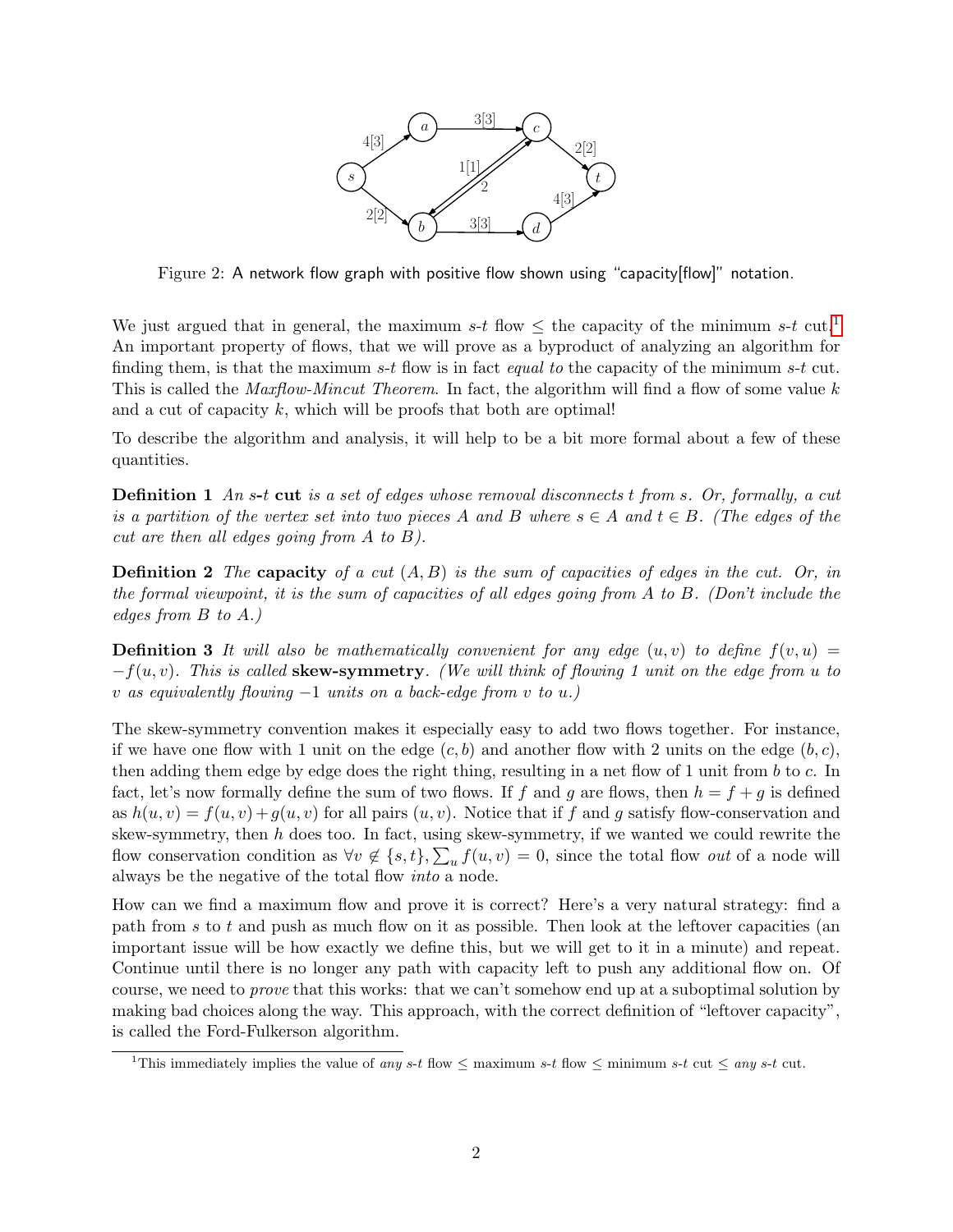

<span id="page-1-0"></span>Figure 2: A network flow graph with positive flow shown using "capacity[flow]" notation.

We just argued that in general, the maximum s-t flow  $\leq$  the capacity of the minimum s-t cut.<sup>[1](#page-1-1)</sup> An important property of flows, that we will prove as a byproduct of analyzing an algorithm for finding them, is that the maximum s-t flow is in fact *equal to* the capacity of the minimum s-t cut. This is called the *Maxflow-Mincut Theorem*. In fact, the algorithm will find a flow of some value k and a cut of capacity  $k$ , which will be proofs that both are optimal!

To describe the algorithm and analysis, it will help to be a bit more formal about a few of these quantities.

**Definition 1** An s-t cut is a set of edges whose removal disconnects t from s. Or, formally, a cut is a partition of the vertex set into two pieces A and B where  $s \in A$  and  $t \in B$ . (The edges of the cut are then all edges going from A to B).

**Definition 2** The capacity of a cut  $(A, B)$  is the sum of capacities of edges in the cut. Or, in the formal viewpoint, it is the sum of capacities of all edges going from A to B. (Don't include the edges from B to A.)

**Definition 3** It will also be mathematically convenient for any edge  $(u, v)$  to define  $f(v, u) =$  $-f(u, v)$ . This is called **skew-symmetry**. (We will think of flowing 1 unit on the edge from u to v as equivalently flowing  $-1$  units on a back-edge from v to u.)

The skew-symmetry convention makes it especially easy to add two flows together. For instance, if we have one flow with 1 unit on the edge  $(c, b)$  and another flow with 2 units on the edge  $(b, c)$ , then adding them edge by edge does the right thing, resulting in a net flow of 1 unit from b to c. In fact, let's now formally define the sum of two flows. If f and g are flows, then  $h = f + g$  is defined as  $h(u, v) = f(u, v) + g(u, v)$  for all pairs  $(u, v)$ . Notice that if f and g satisfy flow-conservation and skew-symmetry, then  $h$  does too. In fact, using skew-symmetry, if we wanted we could rewrite the flow conservation condition as  $\forall v \notin \{s,t\}, \sum_{u} f(u,v) = 0$ , since the total flow *out* of a node will always be the negative of the total flow into a node.

How can we find a maximum flow and prove it is correct? Here's a very natural strategy: find a path from s to t and push as much flow on it as possible. Then look at the leftover capacities (an important issue will be how exactly we define this, but we will get to it in a minute) and repeat. Continue until there is no longer any path with capacity left to push any additional flow on. Of course, we need to prove that this works: that we can't somehow end up at a suboptimal solution by making bad choices along the way. This approach, with the correct definition of "leftover capacity", is called the Ford-Fulkerson algorithm.

<span id="page-1-1"></span><sup>&</sup>lt;sup>1</sup>This immediately implies the value of any s-t flow  $\leq$  maximum s-t flow  $\leq$  minimum s-t cut  $\leq$  any s-t cut.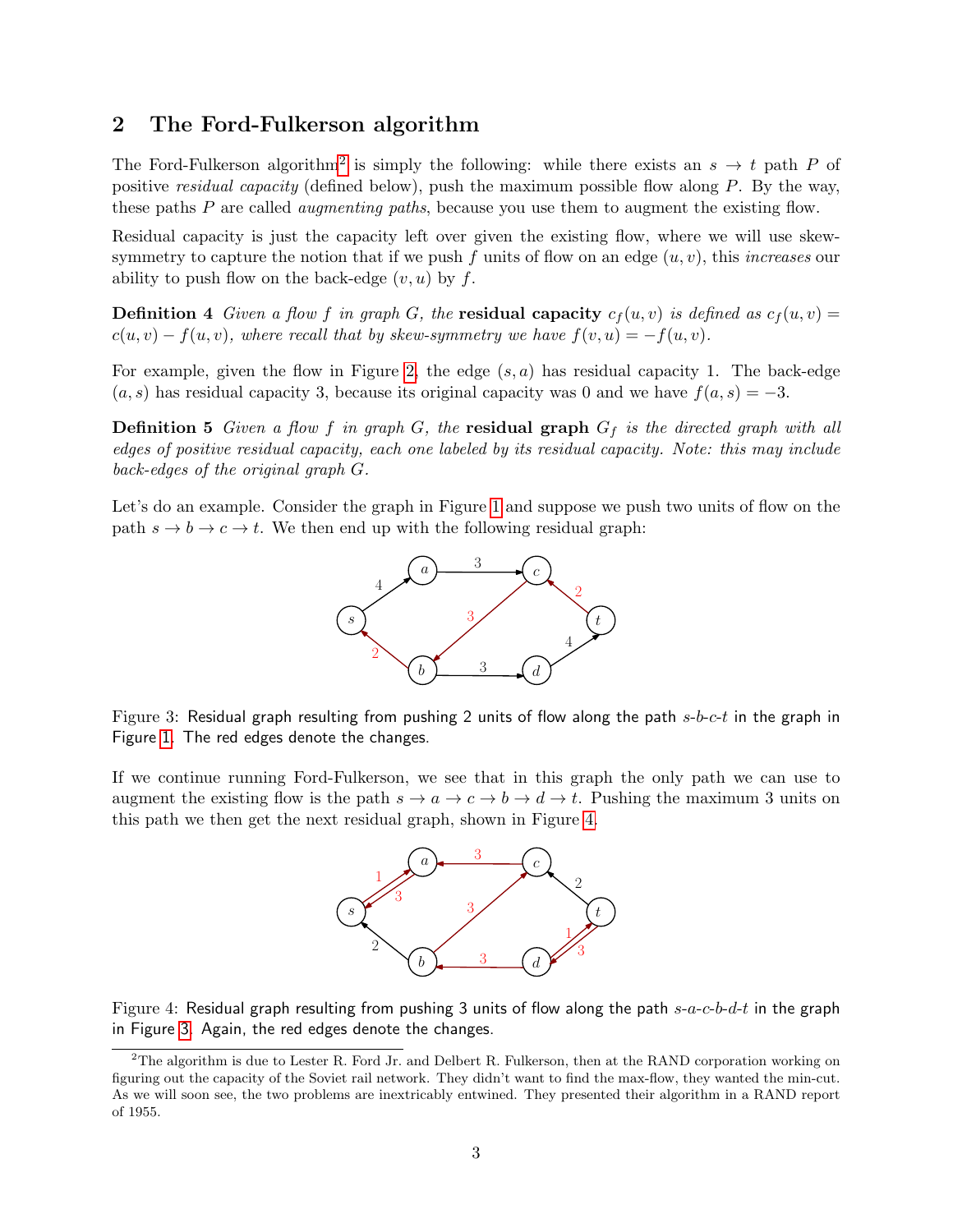### 2 The Ford-Fulkerson algorithm

The Ford-Fulkerson algorithm<sup>[2](#page-2-0)</sup> is simply the following: while there exists an  $s \to t$  path P of positive *residual capacity* (defined below), push the maximum possible flow along  $P$ . By the way, these paths P are called *augmenting paths*, because you use them to augment the existing flow.

Residual capacity is just the capacity left over given the existing flow, where we will use skewsymmetry to capture the notion that if we push f units of flow on an edge  $(u, v)$ , this *increases* our ability to push flow on the back-edge  $(v, u)$  by f.

**Definition 4** Given a flow f in graph G, the **residual capacity**  $c_f(u, v)$  is defined as  $c_f(u, v)$  =  $c(u, v) - f(u, v)$ , where recall that by skew-symmetry we have  $f(v, u) = -f(u, v)$ .

For example, given the flow in Figure [2,](#page-1-0) the edge  $(s, a)$  has residual capacity 1. The back-edge  $(a, s)$  has residual capacity 3, because its original capacity was 0 and we have  $f(a, s) = -3$ .

**Definition 5** Given a flow f in graph G, the **residual graph**  $G_f$  is the directed graph with all edges of positive residual capacity, each one labeled by its residual capacity. Note: this may include back-edges of the original graph G.

Let's do an example. Consider the graph in Figure [1](#page-0-0) and suppose we push two units of flow on the path  $s \to b \to c \to t$ . We then end up with the following residual graph:



<span id="page-2-2"></span>Figure 3: Residual graph resulting from pushing 2 units of flow along the path  $s-b-c-t$  in the graph in Figure [1.](#page-0-0) The red edges denote the changes.

If we continue running Ford-Fulkerson, we see that in this graph the only path we can use to augment the existing flow is the path  $s \to a \to c \to b \to d \to t$ . Pushing the maximum 3 units on this path we then get the next residual graph, shown in Figure [4.](#page-2-1)



<span id="page-2-1"></span>Figure 4: Residual graph resulting from pushing 3 units of flow along the path  $s-a-c-b-d-t$  in the graph in Figure [3.](#page-2-2) Again, the red edges denote the changes.

<span id="page-2-0"></span><sup>&</sup>lt;sup>2</sup>The algorithm is due to Lester R. Ford Jr. and Delbert R. Fulkerson, then at the RAND corporation working on figuring out the capacity of the Soviet rail network. They didn't want to find the max-flow, they wanted the min-cut. As we will soon see, the two problems are inextricably entwined. They presented their algorithm in a RAND report of 1955.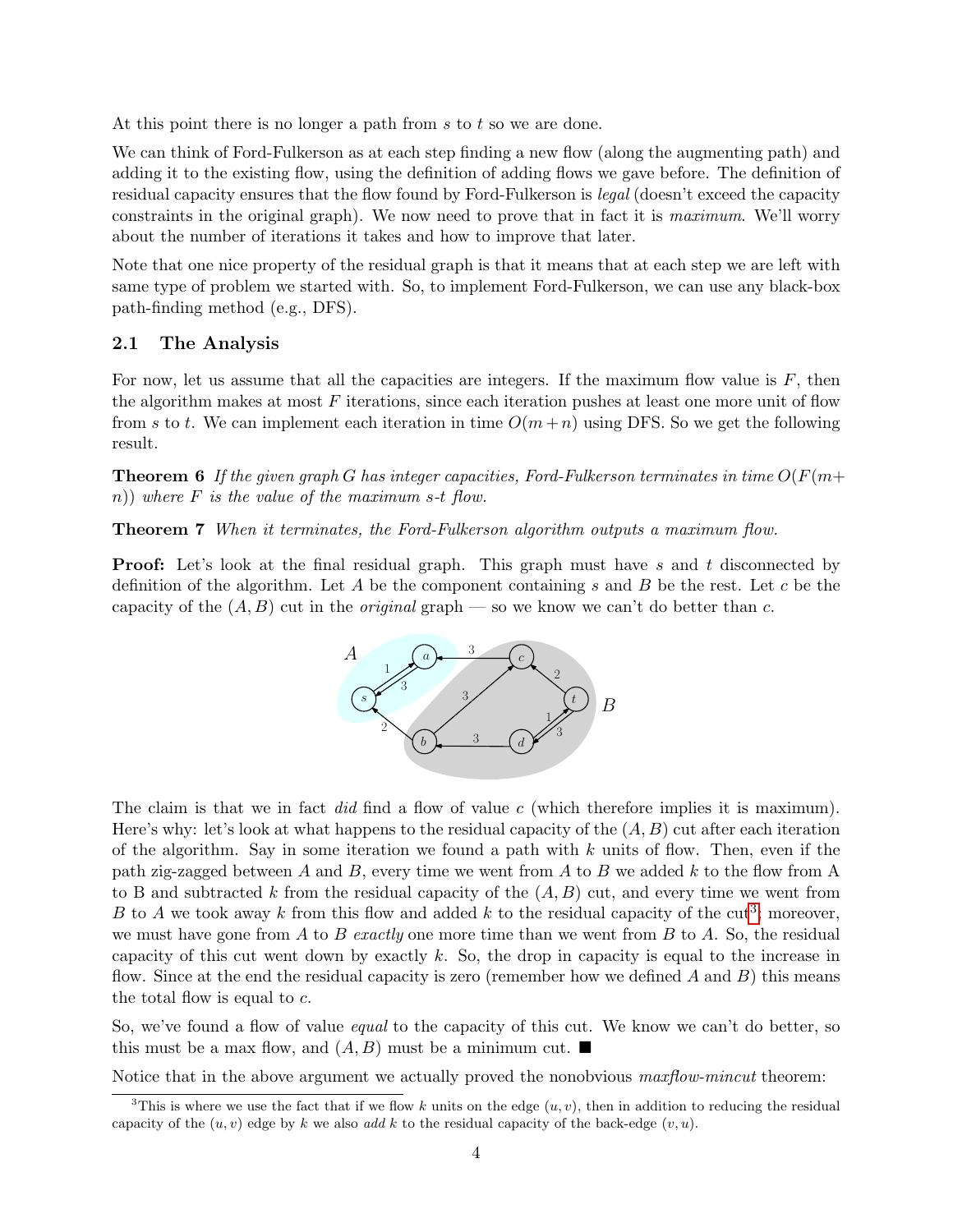At this point there is no longer a path from  $s$  to  $t$  so we are done.

We can think of Ford-Fulkerson as at each step finding a new flow (along the augmenting path) and adding it to the existing flow, using the definition of adding flows we gave before. The definition of residual capacity ensures that the flow found by Ford-Fulkerson is legal (doesn't exceed the capacity constraints in the original graph). We now need to prove that in fact it is maximum. We'll worry about the number of iterations it takes and how to improve that later.

Note that one nice property of the residual graph is that it means that at each step we are left with same type of problem we started with. So, to implement Ford-Fulkerson, we can use any black-box path-finding method (e.g., DFS).

#### 2.1 The Analysis

For now, let us assume that all the capacities are integers. If the maximum flow value is  $F$ , then the algorithm makes at most  $F$  iterations, since each iteration pushes at least one more unit of flow from s to t. We can implement each iteration in time  $O(m+n)$  using DFS. So we get the following result.

**Theorem 6** If the given graph G has integer capacities, Ford-Fulkerson terminates in time  $O(F(m+$ n)) where  $F$  is the value of the maximum s-t flow.

Theorem 7 When it terminates, the Ford-Fulkerson algorithm outputs a maximum flow.

**Proof:** Let's look at the final residual graph. This graph must have s and t disconnected by definition of the algorithm. Let A be the component containing s and B be the rest. Let c be the capacity of the  $(A, B)$  cut in the *original* graph — so we know we can't do better than c.

<span id="page-3-1"></span>

The claim is that we in fact did find a flow of value c (which therefore implies it is maximum). Here's why: let's look at what happens to the residual capacity of the  $(A, B)$  cut after each iteration of the algorithm. Say in some iteration we found a path with  $k$  units of flow. Then, even if the path zig-zagged between A and B, every time we went from A to B we added  $k$  to the flow from A to B and subtracted k from the residual capacity of the  $(A, B)$  cut, and every time we went from B to A we took away k from this flow and added k to the residual capacity of the cut<sup>[3](#page-3-0)</sup>; moreover, we must have gone from A to B exactly one more time than we went from B to A. So, the residual capacity of this cut went down by exactly k. So, the drop in capacity is equal to the increase in flow. Since at the end the residual capacity is zero (remember how we defined  $A$  and  $B$ ) this means the total flow is equal to  $c$ .

So, we've found a flow of value *equal* to the capacity of this cut. We know we can't do better, so this must be a max flow, and  $(A, B)$  must be a minimum cut.

Notice that in the above argument we actually proved the nonobvious *maxflow-mincut* theorem:

<span id="page-3-0"></span><sup>&</sup>lt;sup>3</sup>This is where we use the fact that if we flow k units on the edge  $(u, v)$ , then in addition to reducing the residual capacity of the  $(u, v)$  edge by k we also add k to the residual capacity of the back-edge  $(v, u)$ .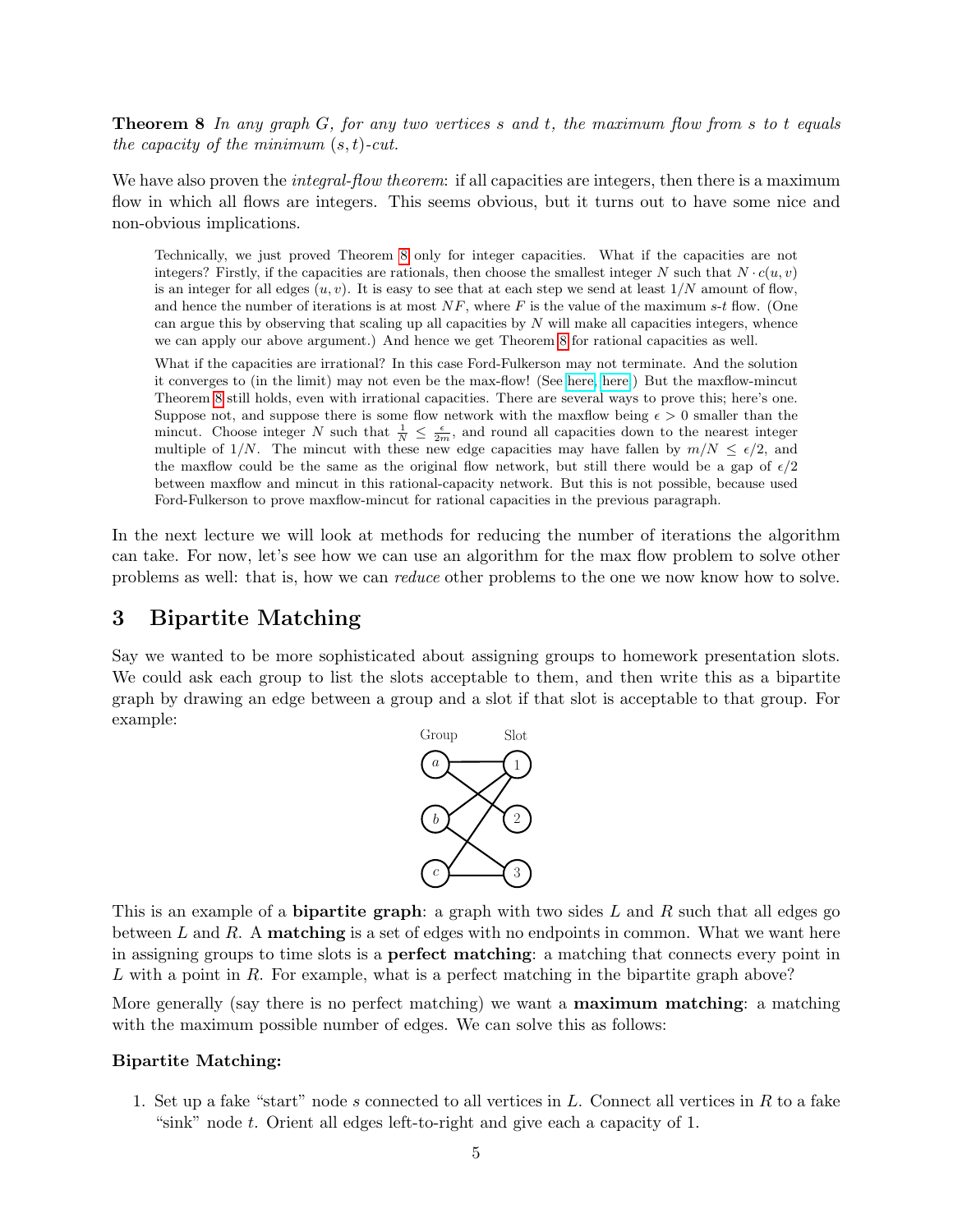**Theorem 8** In any graph G, for any two vertices s and t, the maximum flow from s to t equals the capacity of the minimum  $(s, t)$ -cut.

We have also proven the *integral-flow theorem*: if all capacities are integers, then there is a maximum flow in which all flows are integers. This seems obvious, but it turns out to have some nice and non-obvious implications.

Technically, we just proved Theorem [8](#page-3-1) only for integer capacities. What if the capacities are not integers? Firstly, if the capacities are rationals, then choose the smallest integer N such that  $N \cdot c(u, v)$ is an integer for all edges  $(u, v)$ . It is easy to see that at each step we send at least  $1/N$  amount of flow, and hence the number of iterations is at most  $NF$ , where F is the value of the maximum s-t flow. (One can argue this by observing that scaling up all capacities by  $N$  will make all capacities integers, whence we can apply our above argument.) And hence we get Theorem [8](#page-3-1) for rational capacities as well.

What if the capacities are irrational? In this case Ford-Fulkerson may not terminate. And the solution it converges to (in the limit) may not even be the max-flow! (See [here,](https://www.cs.princeton.edu/courses/archive/spring13/cos423/lectures/07DemoFordFulkersonPathological.pdf) [here.](http://www.cs.huji.ac.il/~nati/PAPERS/ALGORITHMS/zwick.pdf)) But the maxflow-mincut Theorem [8](#page-3-1) still holds, even with irrational capacities. There are several ways to prove this; here's one. Suppose not, and suppose there is some flow network with the maxilow being  $\epsilon > 0$  smaller than the mincut. Choose integer N such that  $\frac{1}{N} \leq \frac{\epsilon}{2m}$ , and round all capacities down to the nearest integer multiple of 1/N. The mincut with these new edge capacities may have fallen by  $m/N \leq \epsilon/2$ , and the maxflow could be the same as the original flow network, but still there would be a gap of  $\epsilon/2$ between maxflow and mincut in this rational-capacity network. But this is not possible, because used Ford-Fulkerson to prove maxflow-mincut for rational capacities in the previous paragraph.

In the next lecture we will look at methods for reducing the number of iterations the algorithm can take. For now, let's see how we can use an algorithm for the max flow problem to solve other problems as well: that is, how we can reduce other problems to the one we now know how to solve.

## 3 Bipartite Matching

Say we wanted to be more sophisticated about assigning groups to homework presentation slots. We could ask each group to list the slots acceptable to them, and then write this as a bipartite graph by drawing an edge between a group and a slot if that slot is acceptable to that group. For example:



This is an example of a **bipartite graph**: a graph with two sides L and R such that all edges go between  $L$  and  $R$ . A **matching** is a set of edges with no endpoints in common. What we want here in assigning groups to time slots is a perfect matching: a matching that connects every point in  $L$  with a point in  $R$ . For example, what is a perfect matching in the bipartite graph above?

More generally (say there is no perfect matching) we want a **maximum matching**: a matching with the maximum possible number of edges. We can solve this as follows:

### Bipartite Matching:

1. Set up a fake "start" node s connected to all vertices in  $L$ . Connect all vertices in  $R$  to a fake "sink" node t. Orient all edges left-to-right and give each a capacity of 1.